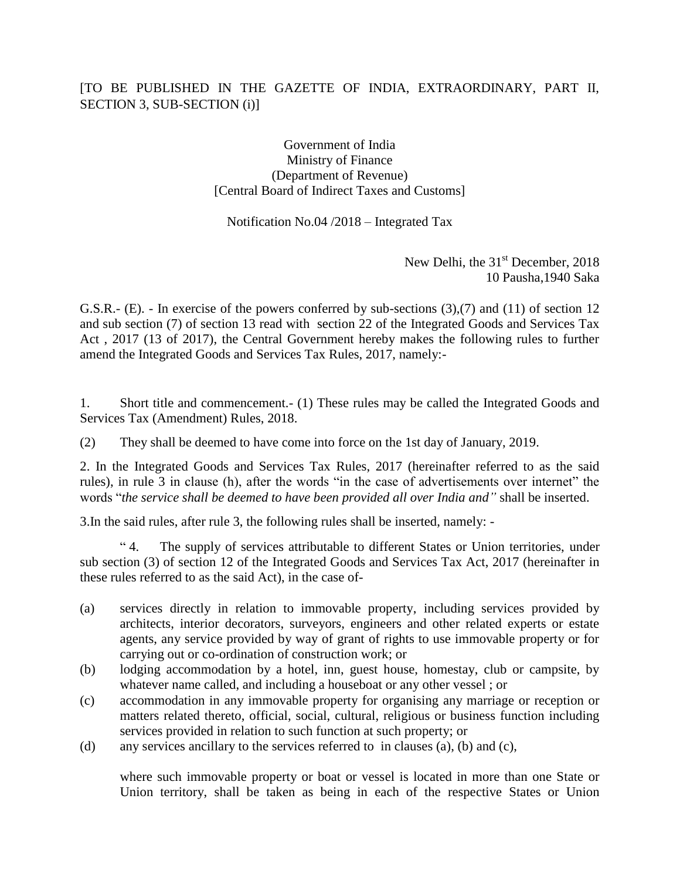## [TO BE PUBLISHED IN THE GAZETTE OF INDIA, EXTRAORDINARY, PART II, SECTION 3, SUB-SECTION (i)]

Government of India Ministry of Finance (Department of Revenue) [Central Board of Indirect Taxes and Customs]

Notification No.04 /2018 – Integrated Tax

New Delhi, the  $31<sup>st</sup>$  December, 2018 10 Pausha,1940 Saka

G.S.R.- (E). - In exercise of the powers conferred by sub-sections (3),(7) and (11) of section 12 and sub section (7) of section 13 read with section 22 of the Integrated Goods and Services Tax Act , 2017 (13 of 2017), the Central Government hereby makes the following rules to further amend the Integrated Goods and Services Tax Rules, 2017, namely:-

1. Short title and commencement.- (1) These rules may be called the Integrated Goods and Services Tax (Amendment) Rules, 2018.

(2) They shall be deemed to have come into force on the 1st day of January, 2019.

2. In the Integrated Goods and Services Tax Rules, 2017 (hereinafter referred to as the said rules), in rule 3 in clause (h), after the words "in the case of advertisements over internet" the words "*the service shall be deemed to have been provided all over India and"* shall be inserted.

3.In the said rules, after rule 3, the following rules shall be inserted, namely: -

" 4. The supply of services attributable to different States or Union territories, under sub section (3) of section 12 of the Integrated Goods and Services Tax Act, 2017 (hereinafter in these rules referred to as the said Act), in the case of-

- (a) services directly in relation to immovable property, including services provided by architects, interior decorators, surveyors, engineers and other related experts or estate agents, any service provided by way of grant of rights to use immovable property or for carrying out or co-ordination of construction work; or
- (b) lodging accommodation by a hotel, inn, guest house, homestay, club or campsite, by whatever name called, and including a houseboat or any other vessel ; or
- (c) accommodation in any immovable property for organising any marriage or reception or matters related thereto, official, social, cultural, religious or business function including services provided in relation to such function at such property; or
- (d) any services ancillary to the services referred to in clauses (a), (b) and (c),

where such immovable property or boat or vessel is located in more than one State or Union territory, shall be taken as being in each of the respective States or Union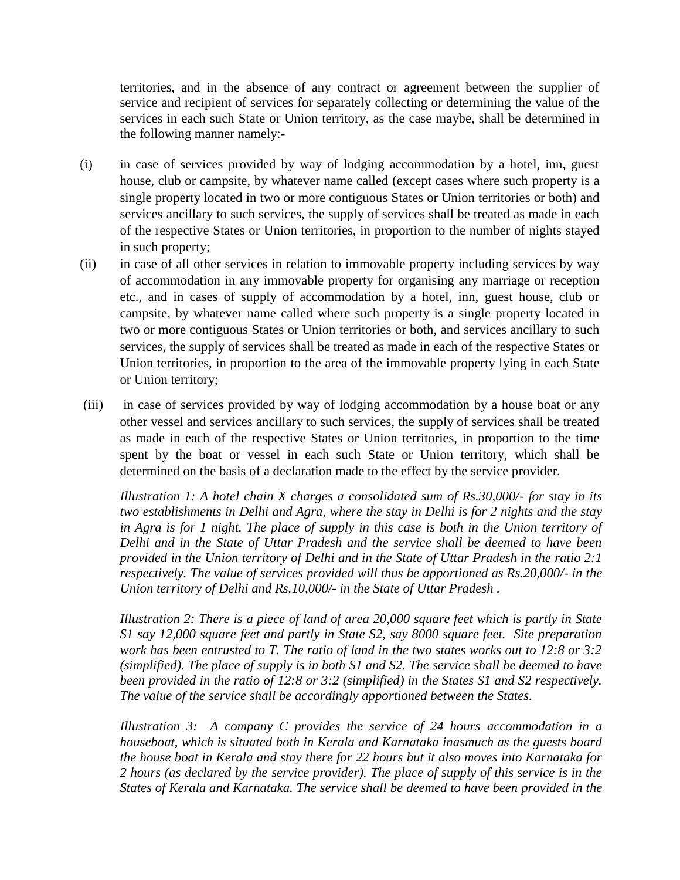territories, and in the absence of any contract or agreement between the supplier of service and recipient of services for separately collecting or determining the value of the services in each such State or Union territory, as the case maybe, shall be determined in the following manner namely:-

- (i) in case of services provided by way of lodging accommodation by a hotel, inn, guest house, club or campsite, by whatever name called (except cases where such property is a single property located in two or more contiguous States or Union territories or both) and services ancillary to such services, the supply of services shall be treated as made in each of the respective States or Union territories, in proportion to the number of nights stayed in such property;
- (ii) in case of all other services in relation to immovable property including services by way of accommodation in any immovable property for organising any marriage or reception etc., and in cases of supply of accommodation by a hotel, inn, guest house, club or campsite, by whatever name called where such property is a single property located in two or more contiguous States or Union territories or both, and services ancillary to such services, the supply of services shall be treated as made in each of the respective States or Union territories, in proportion to the area of the immovable property lying in each State or Union territory;
- (iii) in case of services provided by way of lodging accommodation by a house boat or any other vessel and services ancillary to such services, the supply of services shall be treated as made in each of the respective States or Union territories, in proportion to the time spent by the boat or vessel in each such State or Union territory, which shall be determined on the basis of a declaration made to the effect by the service provider.

*Illustration 1: A hotel chain X charges a consolidated sum of Rs.30,000/- for stay in its two establishments in Delhi and Agra, where the stay in Delhi is for 2 nights and the stay in Agra is for 1 night. The place of supply in this case is both in the Union territory of Delhi and in the State of Uttar Pradesh and the service shall be deemed to have been provided in the Union territory of Delhi and in the State of Uttar Pradesh in the ratio 2:1 respectively. The value of services provided will thus be apportioned as Rs.20,000/- in the Union territory of Delhi and Rs.10,000/- in the State of Uttar Pradesh .*

*Illustration 2: There is a piece of land of area 20,000 square feet which is partly in State S1 say 12,000 square feet and partly in State S2, say 8000 square feet. Site preparation work has been entrusted to T. The ratio of land in the two states works out to 12:8 or 3:2 (simplified). The place of supply is in both S1 and S2. The service shall be deemed to have been provided in the ratio of 12:8 or 3:2 (simplified) in the States S1 and S2 respectively. The value of the service shall be accordingly apportioned between the States.*

*Illustration 3: A company C provides the service of 24 hours accommodation in a houseboat, which is situated both in Kerala and Karnataka inasmuch as the guests board the house boat in Kerala and stay there for 22 hours but it also moves into Karnataka for 2 hours (as declared by the service provider). The place of supply of this service is in the*  States of Kerala and Karnataka. The service shall be deemed to have been provided in the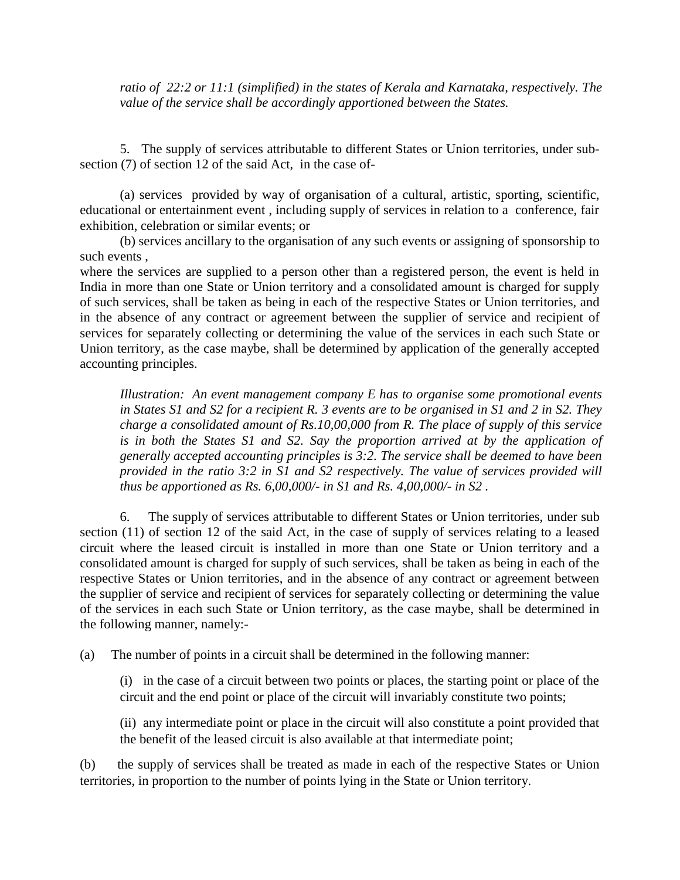*ratio of 22:2 or 11:1 (simplified) in the states of Kerala and Karnataka, respectively. The value of the service shall be accordingly apportioned between the States.*

5. The supply of services attributable to different States or Union territories, under subsection (7) of section 12 of the said Act, in the case of-

(a) services provided by way of organisation of a cultural, artistic, sporting, scientific, educational or entertainment event , including supply of services in relation to a conference, fair exhibition, celebration or similar events; or

(b) services ancillary to the organisation of any such events or assigning of sponsorship to such events ,

where the services are supplied to a person other than a registered person, the event is held in India in more than one State or Union territory and a consolidated amount is charged for supply of such services, shall be taken as being in each of the respective States or Union territories, and in the absence of any contract or agreement between the supplier of service and recipient of services for separately collecting or determining the value of the services in each such State or Union territory, as the case maybe, shall be determined by application of the generally accepted accounting principles.

*Illustration: An event management company E has to organise some promotional events in States S1 and S2 for a recipient R. 3 events are to be organised in S1 and 2 in S2. They charge a consolidated amount of Rs.10,00,000 from R. The place of supply of this service is in both the States S1 and S2. Say the proportion arrived at by the application of generally accepted accounting principles is 3:2. The service shall be deemed to have been provided in the ratio 3:2 in S1 and S2 respectively. The value of services provided will thus be apportioned as Rs. 6,00,000/- in S1 and Rs. 4,00,000/- in S2 .*

6. The supply of services attributable to different States or Union territories, under sub section (11) of section 12 of the said Act, in the case of supply of services relating to a leased circuit where the leased circuit is installed in more than one State or Union territory and a consolidated amount is charged for supply of such services, shall be taken as being in each of the respective States or Union territories, and in the absence of any contract or agreement between the supplier of service and recipient of services for separately collecting or determining the value of the services in each such State or Union territory, as the case maybe, shall be determined in the following manner, namely:-

(a) The number of points in a circuit shall be determined in the following manner:

(i) in the case of a circuit between two points or places, the starting point or place of the circuit and the end point or place of the circuit will invariably constitute two points;

(ii) any intermediate point or place in the circuit will also constitute a point provided that the benefit of the leased circuit is also available at that intermediate point;

(b) the supply of services shall be treated as made in each of the respective States or Union territories, in proportion to the number of points lying in the State or Union territory.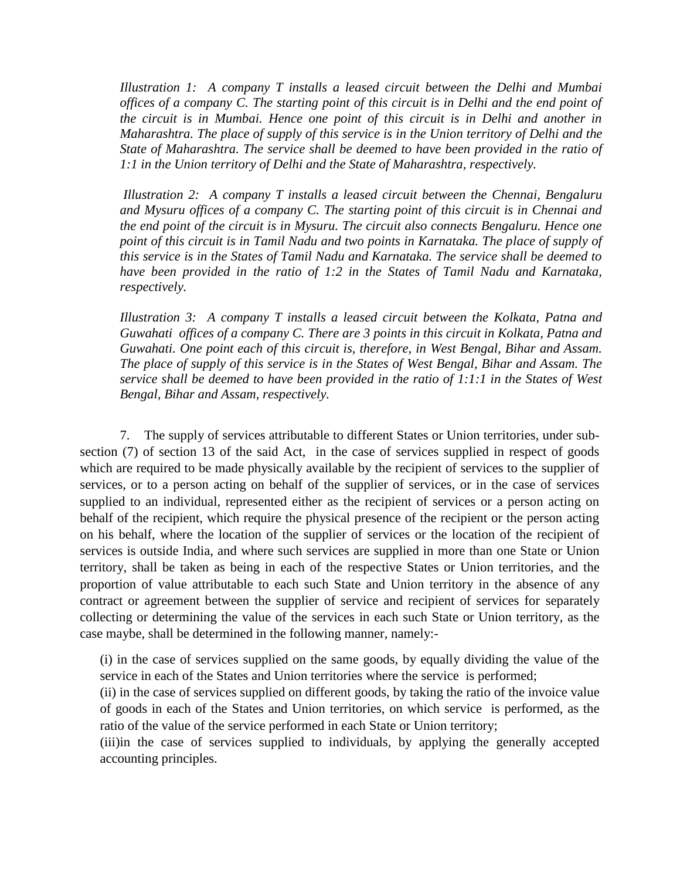*Illustration 1: A company T installs a leased circuit between the Delhi and Mumbai offices of a company C. The starting point of this circuit is in Delhi and the end point of the circuit is in Mumbai. Hence one point of this circuit is in Delhi and another in Maharashtra. The place of supply of this service is in the Union territory of Delhi and the State of Maharashtra. The service shall be deemed to have been provided in the ratio of 1:1 in the Union territory of Delhi and the State of Maharashtra, respectively.* 

*Illustration 2: A company T installs a leased circuit between the Chennai, Bengaluru and Mysuru offices of a company C. The starting point of this circuit is in Chennai and the end point of the circuit is in Mysuru. The circuit also connects Bengaluru. Hence one point of this circuit is in Tamil Nadu and two points in Karnataka. The place of supply of this service is in the States of Tamil Nadu and Karnataka. The service shall be deemed to have been provided in the ratio of 1:2 in the States of Tamil Nadu and Karnataka, respectively.* 

*Illustration 3: A company T installs a leased circuit between the Kolkata, Patna and Guwahati offices of a company C. There are 3 points in this circuit in Kolkata, Patna and Guwahati. One point each of this circuit is, therefore, in West Bengal, Bihar and Assam. The place of supply of this service is in the States of West Bengal, Bihar and Assam. The service shall be deemed to have been provided in the ratio of 1:1:1 in the States of West Bengal, Bihar and Assam, respectively.*

7. The supply of services attributable to different States or Union territories, under subsection (7) of section 13 of the said Act, in the case of services supplied in respect of goods which are required to be made physically available by the recipient of services to the supplier of services, or to a person acting on behalf of the supplier of services, or in the case of services supplied to an individual, represented either as the recipient of services or a person acting on behalf of the recipient, which require the physical presence of the recipient or the person acting on his behalf, where the location of the supplier of services or the location of the recipient of services is outside India, and where such services are supplied in more than one State or Union territory, shall be taken as being in each of the respective States or Union territories, and the proportion of value attributable to each such State and Union territory in the absence of any contract or agreement between the supplier of service and recipient of services for separately collecting or determining the value of the services in each such State or Union territory, as the case maybe, shall be determined in the following manner, namely:-

(i) in the case of services supplied on the same goods, by equally dividing the value of the service in each of the States and Union territories where the service is performed;

(ii) in the case of services supplied on different goods, by taking the ratio of the invoice value of goods in each of the States and Union territories, on which service is performed, as the ratio of the value of the service performed in each State or Union territory;

(iii)in the case of services supplied to individuals, by applying the generally accepted accounting principles.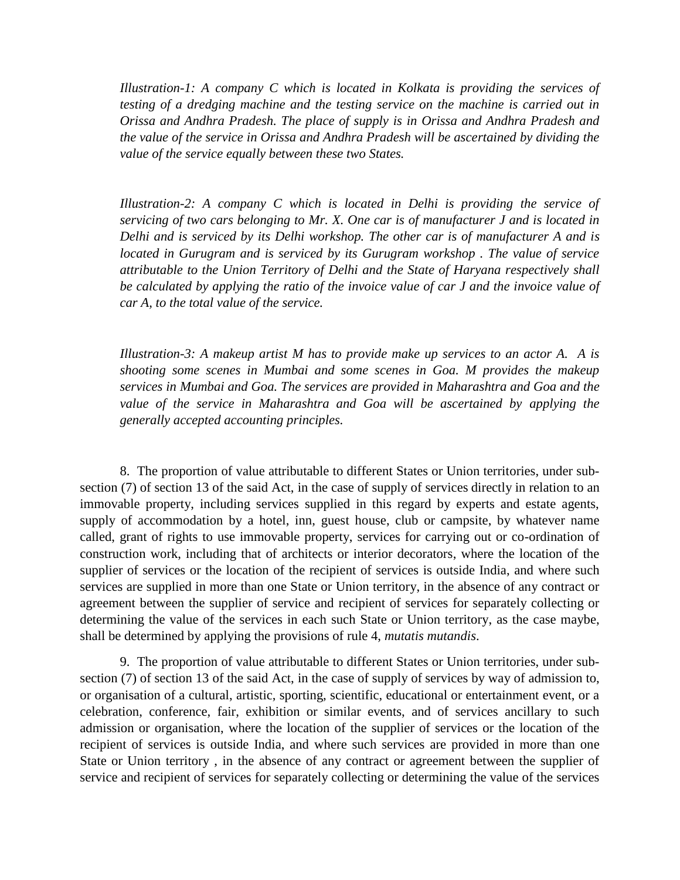*Illustration-1: A company C which is located in Kolkata is providing the services of testing of a dredging machine and the testing service on the machine is carried out in Orissa and Andhra Pradesh. The place of supply is in Orissa and Andhra Pradesh and the value of the service in Orissa and Andhra Pradesh will be ascertained by dividing the value of the service equally between these two States.*

*Illustration-2: A company C which is located in Delhi is providing the service of servicing of two cars belonging to Mr. X. One car is of manufacturer J and is located in Delhi and is serviced by its Delhi workshop. The other car is of manufacturer A and is located in Gurugram and is serviced by its Gurugram workshop. The value of service attributable to the Union Territory of Delhi and the State of Haryana respectively shall be calculated by applying the ratio of the invoice value of car J and the invoice value of car A, to the total value of the service.* 

*Illustration-3: A makeup artist M has to provide make up services to an actor A. A is shooting some scenes in Mumbai and some scenes in Goa. M provides the makeup services in Mumbai and Goa. The services are provided in Maharashtra and Goa and the*  value of the service in Maharashtra and Goa will be ascertained by applying the *generally accepted accounting principles.*

8. The proportion of value attributable to different States or Union territories, under subsection (7) of section 13 of the said Act, in the case of supply of services directly in relation to an immovable property, including services supplied in this regard by experts and estate agents, supply of accommodation by a hotel, inn, guest house, club or campsite, by whatever name called, grant of rights to use immovable property, services for carrying out or co-ordination of construction work, including that of architects or interior decorators, where the location of the supplier of services or the location of the recipient of services is outside India, and where such services are supplied in more than one State or Union territory, in the absence of any contract or agreement between the supplier of service and recipient of services for separately collecting or determining the value of the services in each such State or Union territory, as the case maybe, shall be determined by applying the provisions of rule 4, *mutatis mutandis*.

9. The proportion of value attributable to different States or Union territories, under subsection (7) of section 13 of the said Act, in the case of supply of services by way of admission to, or organisation of a cultural, artistic, sporting, scientific, educational or entertainment event, or a celebration, conference, fair, exhibition or similar events, and of services ancillary to such admission or organisation, where the location of the supplier of services or the location of the recipient of services is outside India, and where such services are provided in more than one State or Union territory , in the absence of any contract or agreement between the supplier of service and recipient of services for separately collecting or determining the value of the services